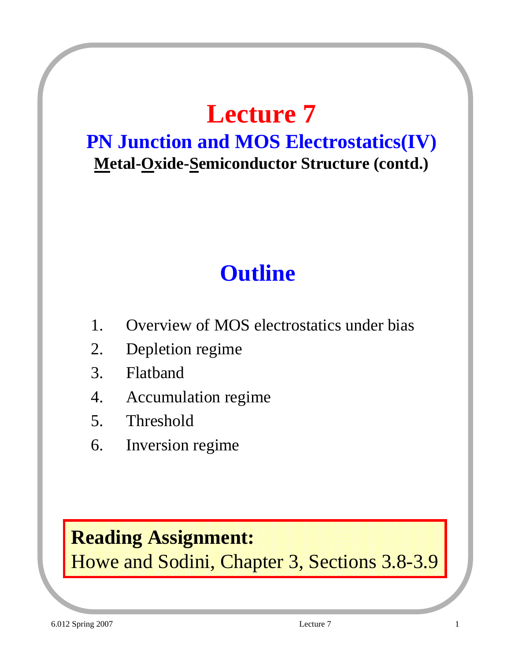# **Lecture 7**

#### **PN Junction and MOS Electrostatics(IV) Metal-Oxide-Semiconductor Structure (contd.)**

### **Outline**

- 1. Overview of MOS electrostatics under bias
- 2. Depletion regime
- 3. Flatband
- 4. Accumulation regime
- 5. Threshold
- 6. Inversion regime

#### **Reading Assignment:**

Howe and Sodini, Chapter 3, Sections 3.8-3.9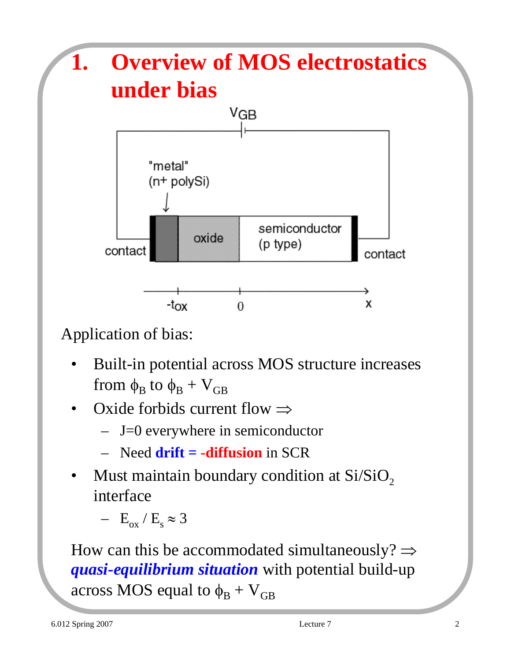

Application of bias:

- Built-in potential across MOS structure increases from  $\phi_B$  to  $\phi_B + V_{GB}$
- Oxide forbids current flow  $\Rightarrow$ 
	- $-$  J=0 everywhere in semiconductor
	- Need **drift = -diffusion** in SCR
- Must maintain boundary condition at  $Si/SiO<sub>2</sub>$ interface

 $- E_{ox} / E_s \approx 3$ 

How can this be accommodated simultaneously?  $\Rightarrow$ *quasi-equilibrium situation* with potential build-up across MOS equal to  $\phi_B + V_{GB}$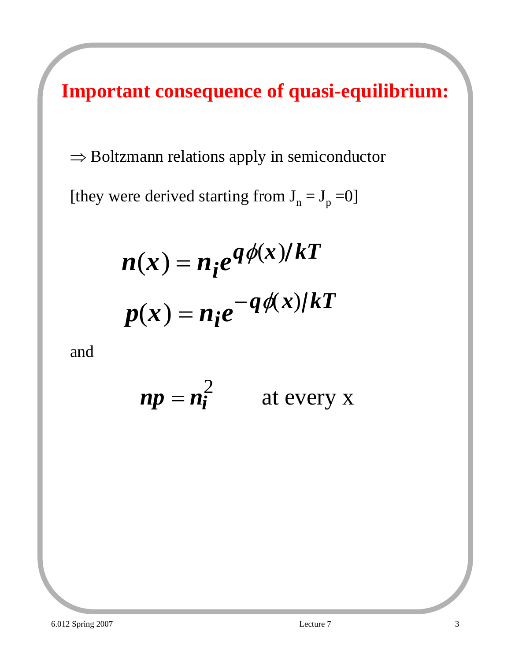**Important consequence of quasi-equilibrium:**

⇒ Boltzmann relations apply in semiconductor

[they were derived starting from  $J_n = J_p = 0$ ]

$$
n(x) = n_i e^{q \phi(x)/kT}
$$

$$
p(x) = n_i e^{-q \phi(x)/kT}
$$

and

$$
np = n_i^2 \qquad \text{at every x}
$$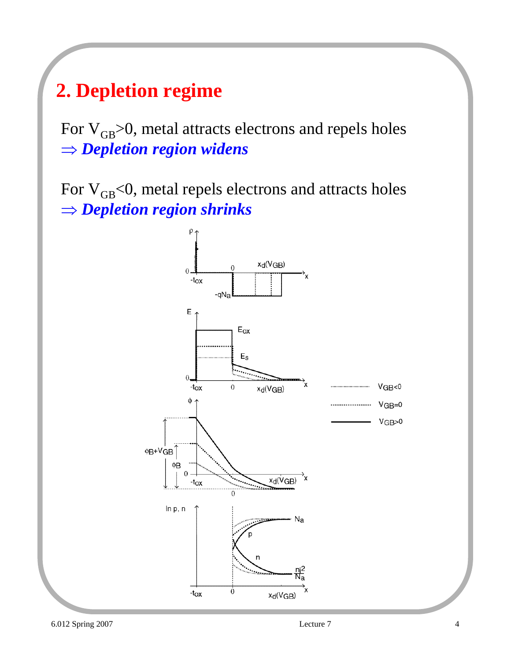#### **2. Depletion regime**

For  $V_{GB}$  $> 0$ , metal attracts electrons and repels holes ⇒ *Depletion region widens*

For  $V_{GB}<0$ , metal repels electrons and attracts holes ⇒ *Depletion region shrinks*

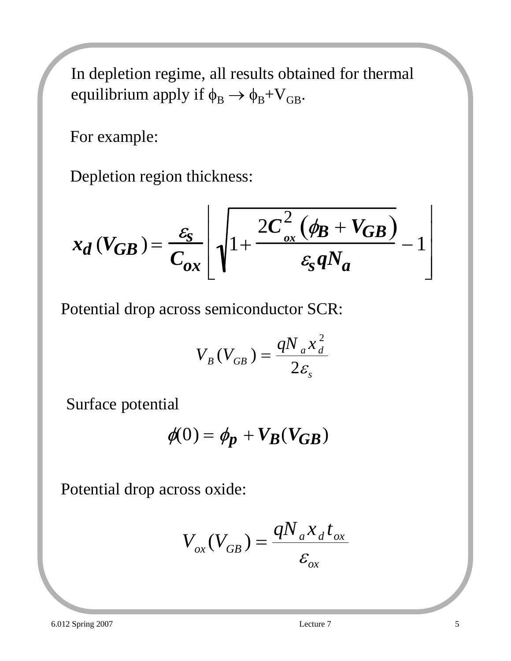In depletion regime, all results obtained for thermal equilibrium apply if  $\phi_B \rightarrow \phi_B + V_{GB}$ .

For example:

Depletion region thickness:

$$
x_d(V_{GB}) = \frac{\varepsilon_{\rm s}}{C_{ox}} \left[ \sqrt{1 + \frac{2C_{ox}^2 (\phi_B + V_{GB})}{\varepsilon_{\rm s} q N_a}} - 1 \right]
$$

Potential drop across semiconductor SCR:

$$
V_B(V_{GB}) = \frac{qN_a x_d^2}{2\varepsilon_s}
$$

Surface potential

$$
\phi(0) = \phi_p + V_B(V_{GB})
$$

Potential drop across oxide:

$$
V_{ox}(V_{GB}) = \frac{qN_{a}x_{d}t_{ox}}{\varepsilon_{ox}}
$$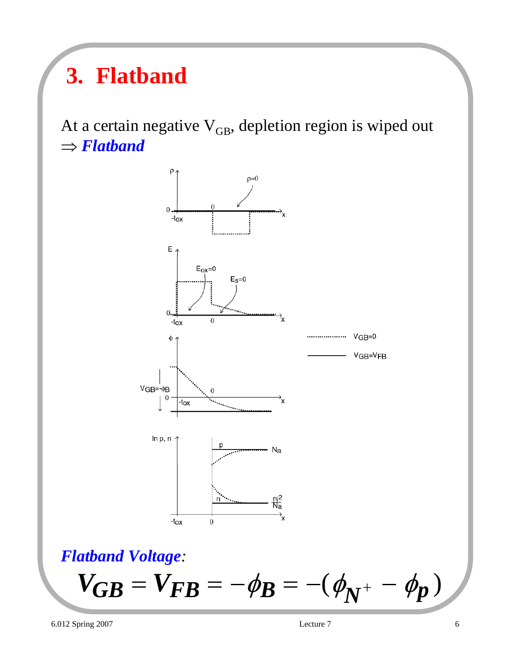## **3. Flatband**

At a certain negative  $V_{GB}$ , depletion region is wiped out ⇒ *Flatband*



#### *Flatband Voltage:*

$$
V_{GB} = V_{FB} = -(\phi_{B} - (\phi_{N^+} - \phi_p))
$$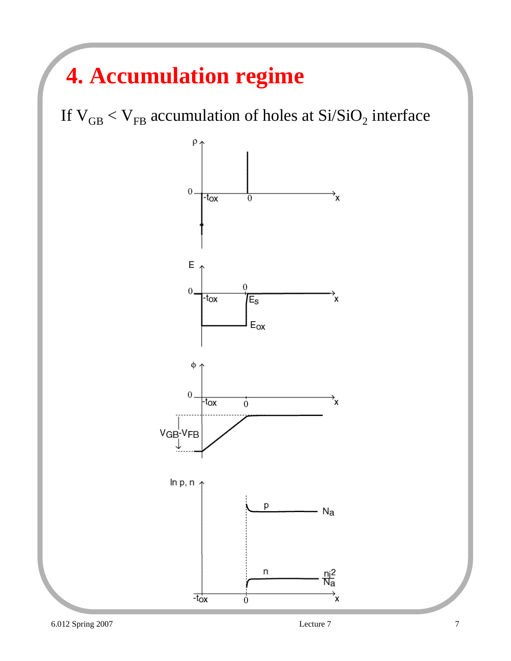### **4. Accumulation regime**

If  $V_{GB} < V_{FB}$  accumulation of holes at  $Si/SiO_2$  interface

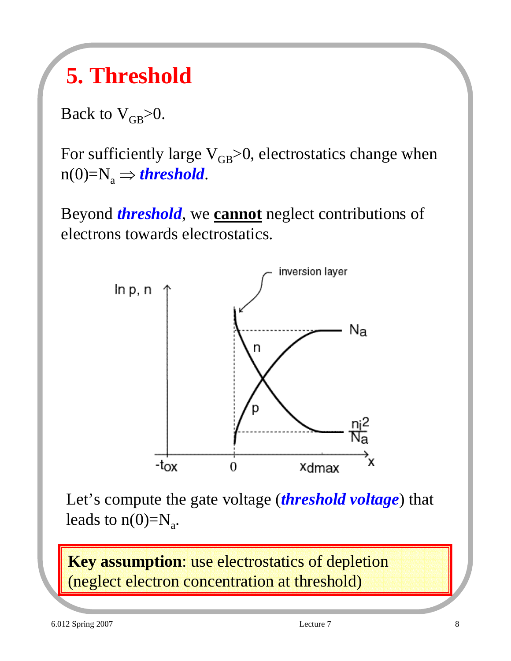### **5. Threshold**

Back to  $V_{GB}$ >0.

For sufficiently large  $V_{GB}>0$ , electrostatics change when  $n(0)=N_a \Rightarrow$  *threshold*.

Beyond *threshold*, we **cannot** neglect contributions of electrons towards electrostatics.



Let's compute the gate voltage (*threshold voltage*) that leads to  $n(0)=N_a$ .

**Key assumption**: use electrostatics of depletion (neglect electron concentration at threshold)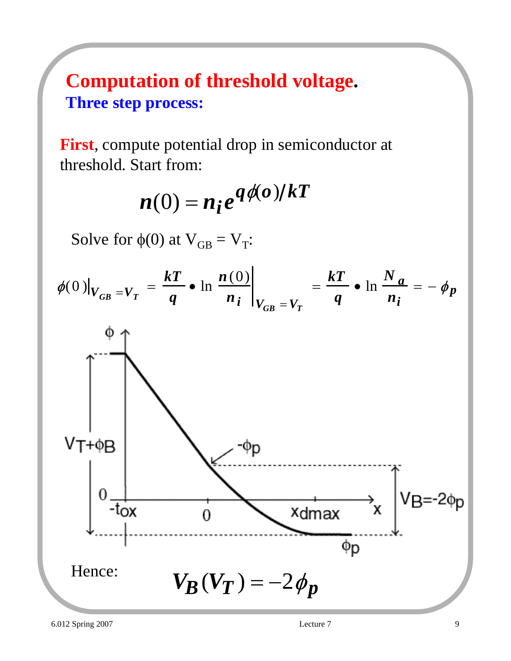#### **Computation of threshold voltage. Three step process:**

**First**, compute potential drop in semiconductor at threshold. Start from:

$$
n(0) = n_i e^{q\phi(o)/kT}
$$

Solve for  $\phi(0)$  at  $V_{GB} = V_T$ :

$$
\phi(0)|_{V_{GB}=V_T} = \frac{kT}{q} \cdot \ln \frac{n(0)}{n_i}\bigg|_{V_{GB}=V_T} = \frac{kT}{q} \cdot \ln \frac{N_a}{n_i} = -\phi_p
$$

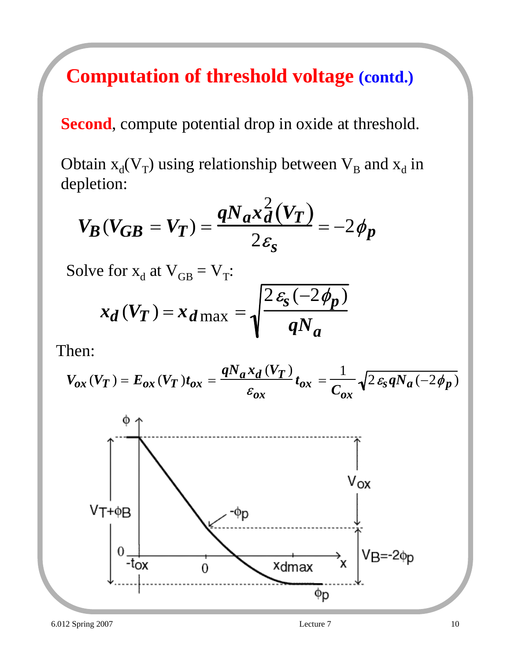#### **Computation of threshold voltage (contd.)**

**Second**, compute potential drop in oxide at threshold.

Obtain  $x_d(V_T)$  using relationship between  $V_B$  and  $x_d$  in depletion:

$$
V_B(V_{GB} = V_T) = \frac{qN_a x_d^2(V_T)}{2\varepsilon_s} = -2\phi_p
$$

Solve for  $x_d$  at  $V_{GB} = V_T$ :

$$
x_d(V_T) = x_{d \max} = \sqrt{\frac{2\,\varepsilon_s(-2\,\phi_p)}{qN_a}}
$$

Then:

$$
V_{ox}\left(V_T\right)=E_{ox}\left(V_T\right)t_{ox}=\frac{qN_ax_d\left(V_T\right)}{\varepsilon_{ox}}t_{ox}=\frac{1}{C_{ox}}\sqrt{2\,\varepsilon_{s}\,qN_a\left(-2\,\phi_{p}\right)}
$$

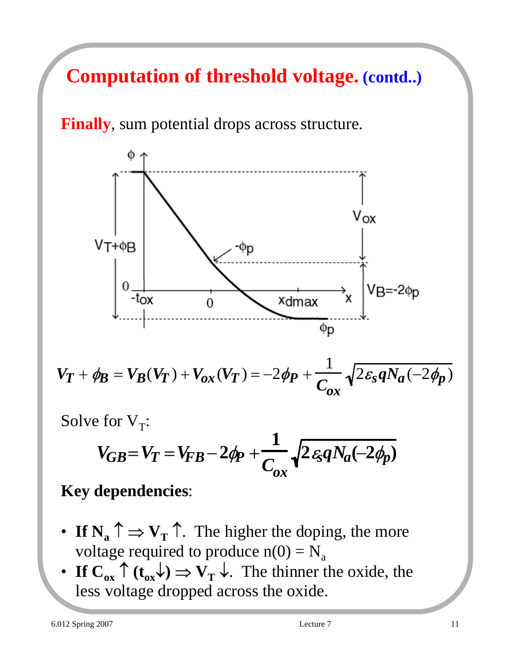### **Computation of threshold voltage. (contd..)**

#### **Finally**, sum potential drops across structure.



$$
V_T + \phi_B = V_B(V_T) + V_{ox}(V_T) = -2\phi_P + \frac{1}{C_{ox}}\sqrt{2\varepsilon_s q N_a(-2\phi_P)}
$$

Solve for  $V_T$ :

$$
V_{GB} = V_T = V_{FB} - 2\phi_P + \frac{1}{C_{ox}}\sqrt{2\epsilon_{\mathcal{S}}qN_a(-2\phi_P)}
$$

#### **Key dependencies**:

- **If N<sub>a</sub>**  $\uparrow \Rightarrow$  **V**<sub>T</sub> $\uparrow$ . The higher the doping, the more voltage required to produce  $n(0) = N_a$
- **If**  $C_{ox} \uparrow (t_{ox} \downarrow) \Rightarrow V_{T} \downarrow$ . The thinner the oxide, the less voltage dropped across the oxide.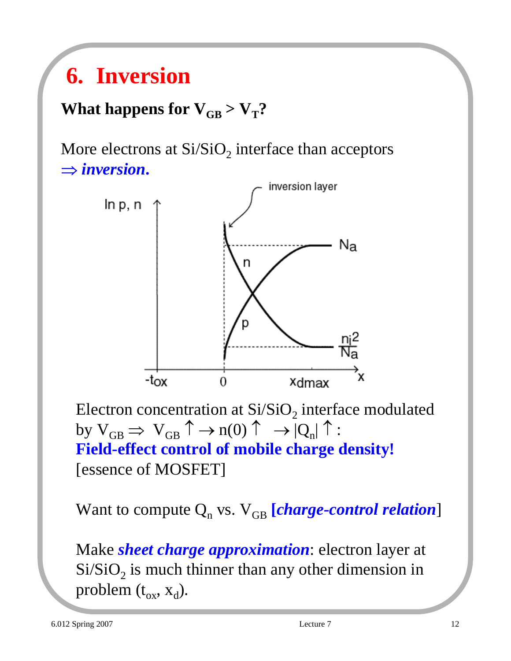### **6. Inversion**

#### **What happens for**  $V_{GB} > V_T$ **?**

More electrons at  $Si/SiO<sub>2</sub>$  interface than acceptors ⇒ *inversion***.**



Electron concentration at  $Si/SiO<sub>2</sub>$  interface modulated by  $V_{GB} \Rightarrow V_{GB} \uparrow \rightarrow n(0) \uparrow \rightarrow |Q_n| \uparrow$ : **Field-effect control of mobile charge density!** [essence of MOSFET]

Want to compute  $Q_n$  vs.  $V_{GB}$  [*charge-control relation*]

Make *sheet charge approximation*: electron layer at  $Si/SiO<sub>2</sub>$  is much thinner than any other dimension in problem  $(t_{ox}, x_d)$ .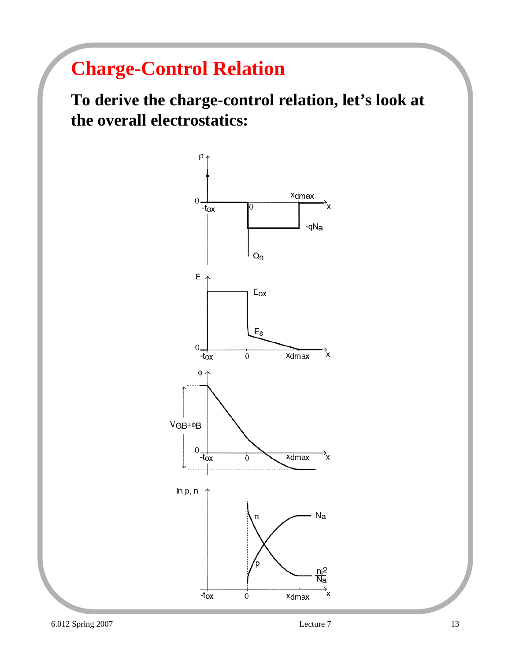### **Charge-Control Relation**

**To derive the charge-control relation, let's look at the overall electrostatics:**

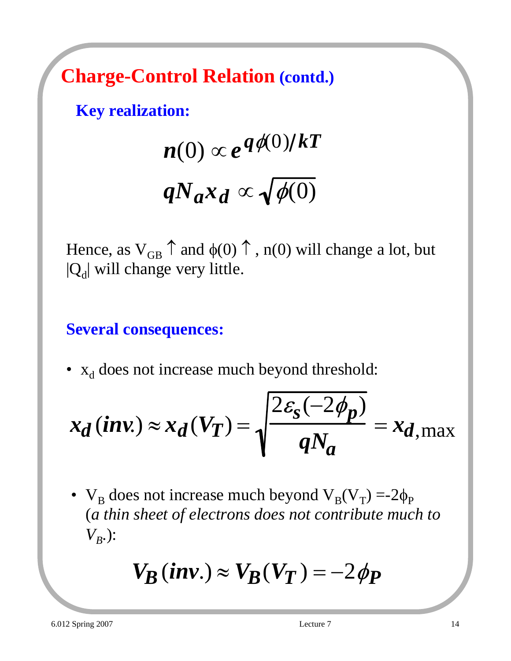**Charge-Control Relation (contd.)**

**Key realization:**

$$
n(0) \propto e^{q\phi(0)/kT}
$$

$$
qN_a x_d \propto \sqrt{\phi(0)}
$$

Hence, as  $V_{GB} \uparrow$  and  $\phi(0) \uparrow$ , n(0) will change a lot, but  $|Q_d|$  will change very little.

**Several consequences:**

•  $x_d$  does not increase much beyond threshold:

$$
x_d \, (\textbf{inv.}) \approx x_d \, (V_T) = \sqrt{\frac{2 \varepsilon_s \, (-2 \phi_p)}{q N_a}} = x_d_{\text{max}}
$$

•  $V_B$  does not increase much beyond  $V_B(V_T) = -2\phi_P$ (*a thin sheet of electrons does not contribute much to*   $V_{B}$ .):

$$
V_B(inv.) \approx V_B(V_T) = -2\phi_P
$$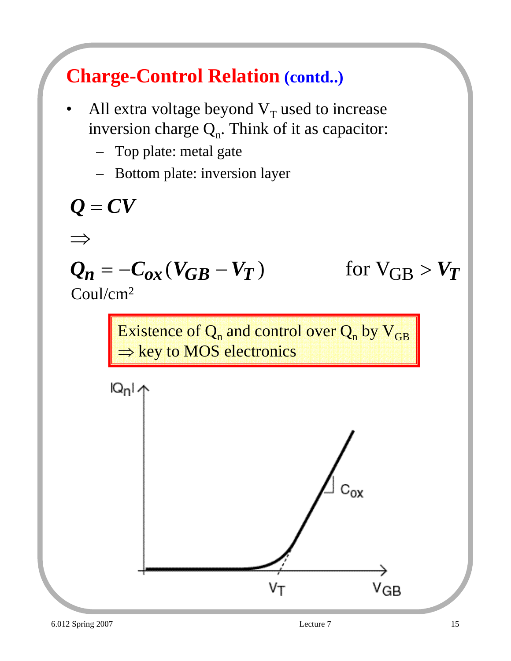#### **Charge-Control Relation (contd..)**

- All extra voltage beyond  $V_T$  used to increase inversion charge  $Q_n$ . Think of it as capacitor:
	- Top plate: metal gate
	- Bottom plate: inversion layer